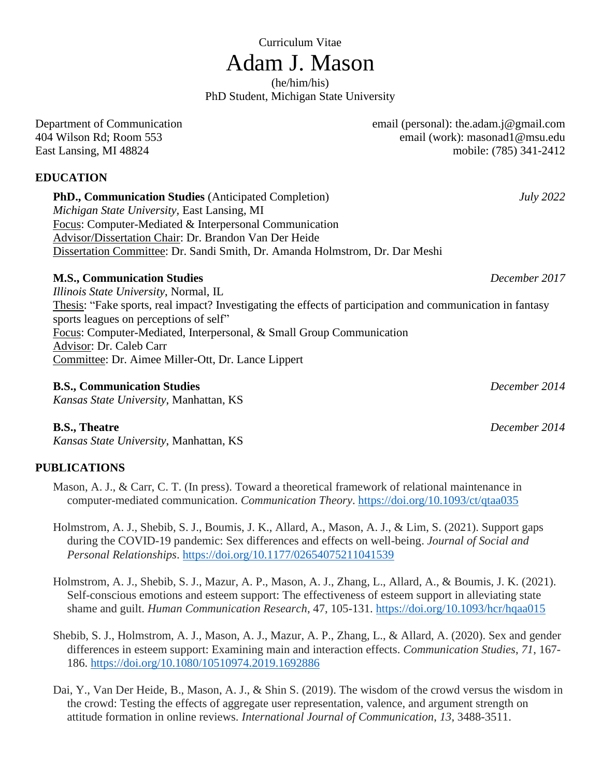# Curriculum Vitae Adam J. Mason

(he/him/his) PhD Student, Michigan State University

## **EDUCATION**

**PhD., Communication Studies** (Anticipated Completion) *July 2022 Michigan State University,* East Lansing, MI Focus: Computer-Mediated & Interpersonal Communication Advisor/Dissertation Chair: Dr. Brandon Van Der Heide Dissertation Committee: Dr. Sandi Smith, Dr. Amanda Holmstrom, Dr. Dar Meshi

# **M.S., Communication Studies** *December 2017*

*Illinois State University*, Normal, IL Thesis: "Fake sports, real impact? Investigating the effects of participation and communication in fantasy sports leagues on perceptions of self" Focus: Computer-Mediated, Interpersonal, & Small Group Communication Advisor: Dr. Caleb Carr Committee: Dr. Aimee Miller-Ott, Dr. Lance Lippert

## **B.S., Communication Studies** *December 2014*

*Kansas State University*, Manhattan, KS

*Kansas State University*, Manhattan, KS

# **PUBLICATIONS**

- Mason, A. J., & Carr, C. T. (In press). Toward a theoretical framework of relational maintenance in computer-mediated communication. *Communication Theory*. <https://doi.org/10.1093/ct/qtaa035>
- Holmstrom, A. J., Shebib, S. J., Boumis, J. K., Allard, A., Mason, A. J., & Lim, S. (2021). Support gaps during the COVID-19 pandemic: Sex differences and effects on well-being. *Journal of Social and Personal Relationships*. <https://doi.org/10.1177/02654075211041539>
- Holmstrom, A. J., Shebib, S. J., Mazur, A. P., Mason, A. J., Zhang, L., Allard, A., & Boumis, J. K. (2021). Self-conscious emotions and esteem support: The effectiveness of esteem support in alleviating state shame and guilt. *Human Communication Research*, 47, 105-131.<https://doi.org/10.1093/hcr/hqaa015>
- Shebib, S. J., Holmstrom, A. J., Mason, A. J., Mazur, A. P., Zhang, L., & Allard, A. (2020). Sex and gender differences in esteem support: Examining main and interaction effects. *Communication Studies*, *71*, 167- 186.<https://doi.org/10.1080/10510974.2019.1692886>
- Dai, Y., Van Der Heide, B., Mason, A. J., & Shin S. (2019). The wisdom of the crowd versus the wisdom in the crowd: Testing the effects of aggregate user representation, valence, and argument strength on attitude formation in online reviews. *International Journal of Communication*, *13*, 3488-3511.

Department of Communication email (personal): the.adam.j@gmail.com 404 Wilson Rd; Room 553 email (work): masonad1@msu.edu East Lansing, MI 48824 mobile: (785) 341-2412

**B.S., Theatre** *December 2014*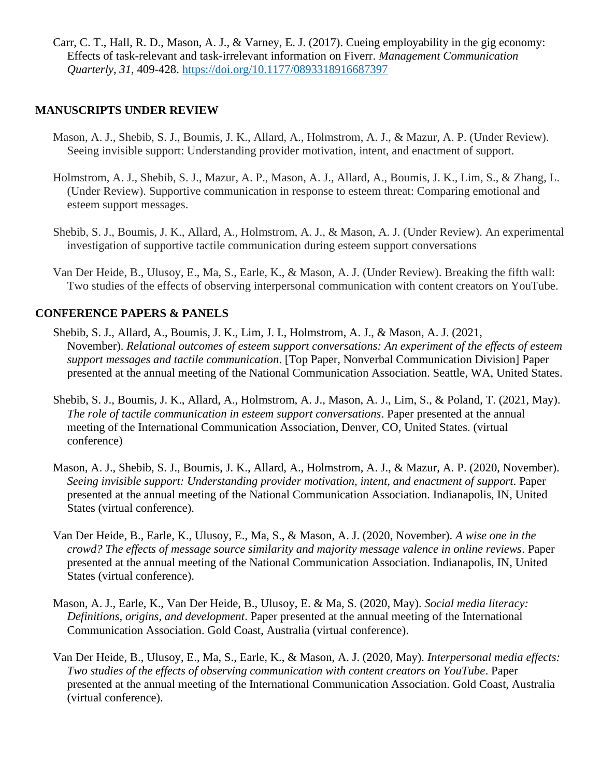Carr, C. T., Hall, R. D., Mason, A. J., & Varney, E. J. (2017). Cueing employability in the gig economy: Effects of task-relevant and task-irrelevant information on Fiverr. *Management Communication Quarterly*, *31*, 409-428.<https://doi.org/10.1177/0893318916687397>

### **MANUSCRIPTS UNDER REVIEW**

- Mason, A. J., Shebib, S. J., Boumis, J. K., Allard, A., Holmstrom, A. J., & Mazur, A. P. (Under Review). Seeing invisible support: Understanding provider motivation, intent, and enactment of support.
- Holmstrom, A. J., Shebib, S. J., Mazur, A. P., Mason, A. J., Allard, A., Boumis, J. K., Lim, S., & Zhang, L. (Under Review). Supportive communication in response to esteem threat: Comparing emotional and esteem support messages.
- Shebib, S. J., Boumis, J. K., Allard, A., Holmstrom, A. J., & Mason, A. J. (Under Review). An experimental investigation of supportive tactile communication during esteem support conversations
- Van Der Heide, B., Ulusoy, E., Ma, S., Earle, K., & Mason, A. J. (Under Review). Breaking the fifth wall: Two studies of the effects of observing interpersonal communication with content creators on YouTube.

### **CONFERENCE PAPERS & PANELS**

- Shebib, S. J., Allard, A., Boumis, J. K., Lim, J. I., Holmstrom, A. J., & Mason, A. J. (2021, November). *Relational outcomes of esteem support conversations: An experiment of the effects of esteem support messages and tactile communication*. [Top Paper, Nonverbal Communication Division] Paper presented at the annual meeting of the National Communication Association. Seattle, WA, United States.
- Shebib, S. J., Boumis, J. K., Allard, A., Holmstrom, A. J., Mason, A. J., Lim, S., & Poland, T. (2021, May). *The role of tactile communication in esteem support conversations*. Paper presented at the annual meeting of the International Communication Association, Denver, CO, United States. (virtual conference)
- Mason, A. J., Shebib, S. J., Boumis, J. K., Allard, A., Holmstrom, A. J., & Mazur, A. P. (2020, November). *Seeing invisible support: Understanding provider motivation, intent, and enactment of support*. Paper presented at the annual meeting of the National Communication Association. Indianapolis, IN, United States (virtual conference).
- Van Der Heide, B., Earle, K., Ulusoy, E., Ma, S., & Mason, A. J. (2020, November). *A wise one in the crowd? The effects of message source similarity and majority message valence in online reviews*. Paper presented at the annual meeting of the National Communication Association. Indianapolis, IN, United States (virtual conference).
- Mason, A. J., Earle, K., Van Der Heide, B., Ulusoy, E. & Ma, S. (2020, May). *Social media literacy: Definitions, origins, and development*. Paper presented at the annual meeting of the International Communication Association. Gold Coast, Australia (virtual conference).
- Van Der Heide, B., Ulusoy, E., Ma, S., Earle, K., & Mason, A. J. (2020, May). *Interpersonal media effects: Two studies of the effects of observing communication with content creators on YouTube*. Paper presented at the annual meeting of the International Communication Association. Gold Coast, Australia (virtual conference).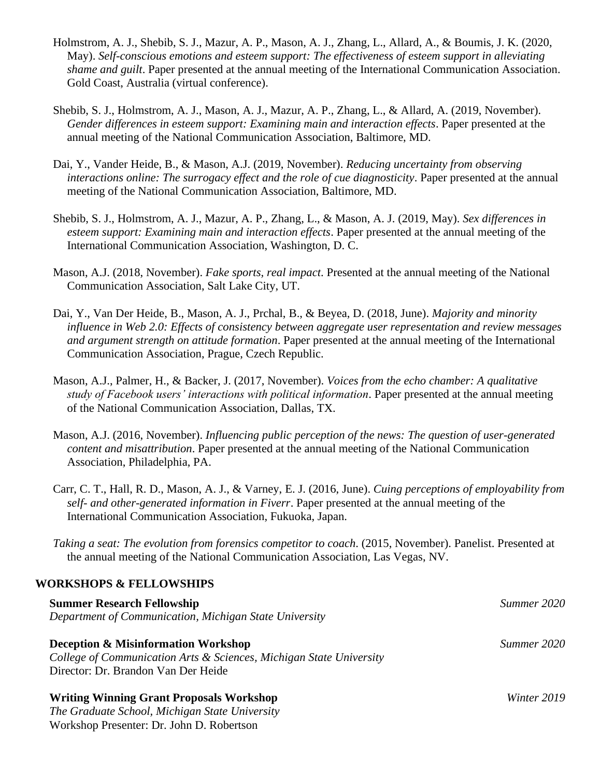- Holmstrom, A. J., Shebib, S. J., Mazur, A. P., Mason, A. J., Zhang, L., Allard, A., & Boumis, J. K. (2020, May). *Self-conscious emotions and esteem support: The effectiveness of esteem support in alleviating shame and guilt*. Paper presented at the annual meeting of the International Communication Association. Gold Coast, Australia (virtual conference).
- Shebib, S. J., Holmstrom, A. J., Mason, A. J., Mazur, A. P., Zhang, L., & Allard, A. (2019, November). *Gender differences in esteem support: Examining main and interaction effects*. Paper presented at the annual meeting of the National Communication Association, Baltimore, MD.
- Dai, Y., Vander Heide, B., & Mason, A.J. (2019, November). *Reducing uncertainty from observing interactions online: The surrogacy effect and the role of cue diagnosticity*. Paper presented at the annual meeting of the National Communication Association, Baltimore, MD.
- Shebib, S. J., Holmstrom, A. J., Mazur, A. P., Zhang, L., & Mason, A. J. (2019, May). *Sex differences in esteem support: Examining main and interaction effects*. Paper presented at the annual meeting of the International Communication Association, Washington, D. C.
- Mason, A.J. (2018, November). *Fake sports, real impact*. Presented at the annual meeting of the National Communication Association, Salt Lake City, UT.
- Dai, Y., Van Der Heide, B., Mason, A. J., Prchal, B., & Beyea, D. (2018, June). *Majority and minority influence in Web 2.0: Effects of consistency between aggregate user representation and review messages and argument strength on attitude formation*. Paper presented at the annual meeting of the International Communication Association, Prague, Czech Republic.
- Mason, A.J., Palmer, H., & Backer, J. (2017, November). *Voices from the echo chamber: A qualitative study of Facebook users' interactions with political information*. Paper presented at the annual meeting of the National Communication Association, Dallas, TX.
- Mason, A.J. (2016, November). *Influencing public perception of the news: The question of user-generated content and misattribution*. Paper presented at the annual meeting of the National Communication Association, Philadelphia, PA.
- Carr, C. T., Hall, R. D., Mason, A. J., & Varney, E. J. (2016, June). *Cuing perceptions of employability from self- and other-generated information in Fiverr*. Paper presented at the annual meeting of the International Communication Association, Fukuoka, Japan.
- *Taking a seat: The evolution from forensics competitor to coach*. (2015, November). Panelist. Presented at the annual meeting of the National Communication Association, Las Vegas, NV.

### **WORKSHOPS & FELLOWSHIPS**

| <b>Summer Research Fellowship</b>                                   | Summer 2020 |
|---------------------------------------------------------------------|-------------|
| Department of Communication, Michigan State University              |             |
| <b>Deception &amp; Misinformation Workshop</b>                      | Summer 2020 |
| College of Communication Arts & Sciences, Michigan State University |             |
| Director: Dr. Brandon Van Der Heide                                 |             |
| <b>Writing Winning Grant Proposals Workshop</b>                     | Winter 2019 |
| The Graduate School, Michigan State University                      |             |
| Workshop Presenter: Dr. John D. Robertson                           |             |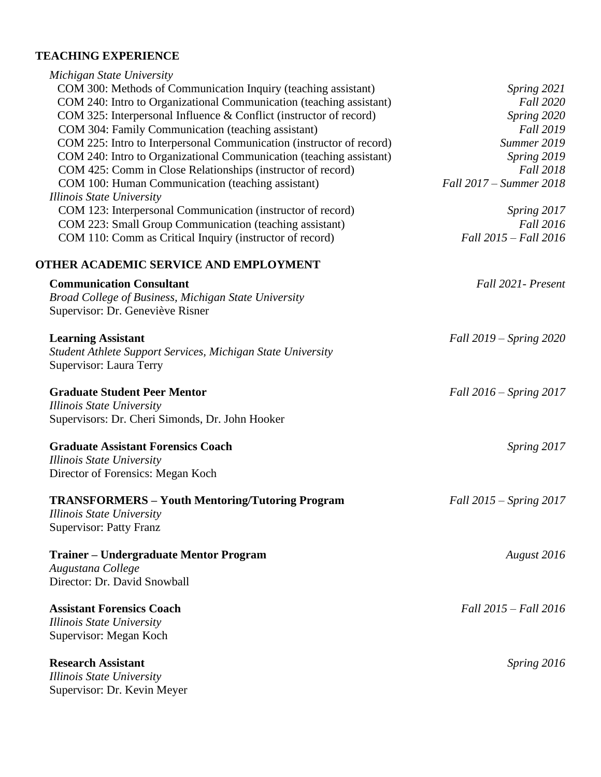# **TEACHING EXPERIENCE**

| Michigan State University                                            |                             |
|----------------------------------------------------------------------|-----------------------------|
| COM 300: Methods of Communication Inquiry (teaching assistant)       | Spring 2021                 |
| COM 240: Intro to Organizational Communication (teaching assistant)  | <b>Fall 2020</b>            |
| COM 325: Interpersonal Influence & Conflict (instructor of record)   | Spring 2020                 |
| COM 304: Family Communication (teaching assistant)                   | <b>Fall 2019</b>            |
| COM 225: Intro to Interpersonal Communication (instructor of record) | Summer 2019                 |
| COM 240: Intro to Organizational Communication (teaching assistant)  | Spring 2019                 |
| COM 425: Comm in Close Relationships (instructor of record)          | <b>Fall 2018</b>            |
| COM 100: Human Communication (teaching assistant)                    | Fall 2017 – Summer 2018     |
| <b>Illinois State University</b>                                     |                             |
| COM 123: Interpersonal Communication (instructor of record)          | Spring 2017                 |
| COM 223: Small Group Communication (teaching assistant)              | <b>Fall 2016</b>            |
| COM 110: Comm as Critical Inquiry (instructor of record)             | Fall 2015 - Fall 2016       |
| OTHER ACADEMIC SERVICE AND EMPLOYMENT                                |                             |
| <b>Communication Consultant</b>                                      | Fall 2021 - Present         |
| Broad College of Business, Michigan State University                 |                             |
| Supervisor: Dr. Geneviève Risner                                     |                             |
| <b>Learning Assistant</b>                                            | Fall 2019 – Spring 2020     |
| Student Athlete Support Services, Michigan State University          |                             |
| Supervisor: Laura Terry                                              |                             |
| <b>Graduate Student Peer Mentor</b>                                  | Fall $2016$ – Spring $2017$ |
| <b>Illinois State University</b>                                     |                             |
| Supervisors: Dr. Cheri Simonds, Dr. John Hooker                      |                             |
| <b>Graduate Assistant Forensics Coach</b>                            | Spring 2017                 |
| <b>Illinois State University</b>                                     |                             |
| Director of Forensics: Megan Koch                                    |                             |
| <b>TRANSFORMERS - Youth Mentoring/Tutoring Program</b>               | Fall 2015 – Spring 2017     |
| Illinois State University                                            |                             |
| <b>Supervisor: Patty Franz</b>                                       |                             |
| <b>Trainer – Undergraduate Mentor Program</b>                        | August 2016                 |
| Augustana College                                                    |                             |
| Director: Dr. David Snowball                                         |                             |
| <b>Assistant Forensics Coach</b>                                     | Fall 2015 - Fall 2016       |
| Illinois State University                                            |                             |
| Supervisor: Megan Koch                                               |                             |
| <b>Research Assistant</b>                                            | Spring 2016                 |
| Illinois State University                                            |                             |
| Supervisor: Dr. Kevin Meyer                                          |                             |
|                                                                      |                             |